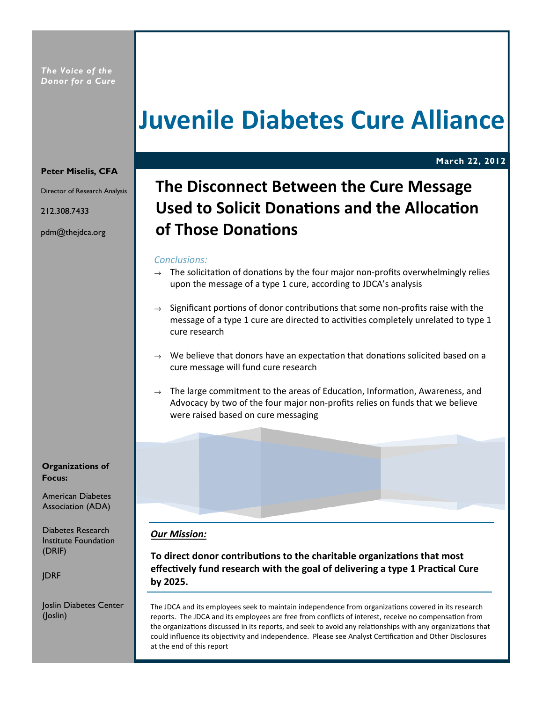## Juvenile Diabetes Cure Alliance

March 22, 2012

#### Peter Miselis, CFA

Director of Research Analysis

212.308.7433

pdm@thejdca.org

### The Disconnect Between the Cure Message Used to Solicit Donations and the Allocation of Those Donations

#### Conclusions:

- $\rightarrow$  The solicitation of donations by the four major non-profits overwhelmingly relies upon the message of a type 1 cure, according to JDCA's analysis
- $\rightarrow$  Significant portions of donor contributions that some non-profits raise with the message of a type 1 cure are directed to activities completely unrelated to type 1 cure research
- $\rightarrow$  We believe that donors have an expectation that donations solicited based on a cure message will fund cure research
- $\rightarrow$  The large commitment to the areas of Education, Information, Awareness, and Advocacy by two of the four major non-profits relies on funds that we believe were raised based on cure messaging

Institute Foundation (DRIF)

JDRF

Joslin Diabetes Center (Joslin)

### Our Mission:

To direct donor contributions to the charitable organizations that most effectively fund research with the goal of delivering a type 1 Practical Cure by 2025.

The JDCA and its employees seek to maintain independence from organizations covered in its research reports. The JDCA and its employees are free from conflicts of interest, receive no compensation from the organizations discussed in its reports, and seek to avoid any relationships with any organizations that could influence its objectivity and independence. Please see Analyst Certification and Other Disclosures at the end of this report

Organizations of Focus:

American Diabetes Association (ADA)

Diabetes Research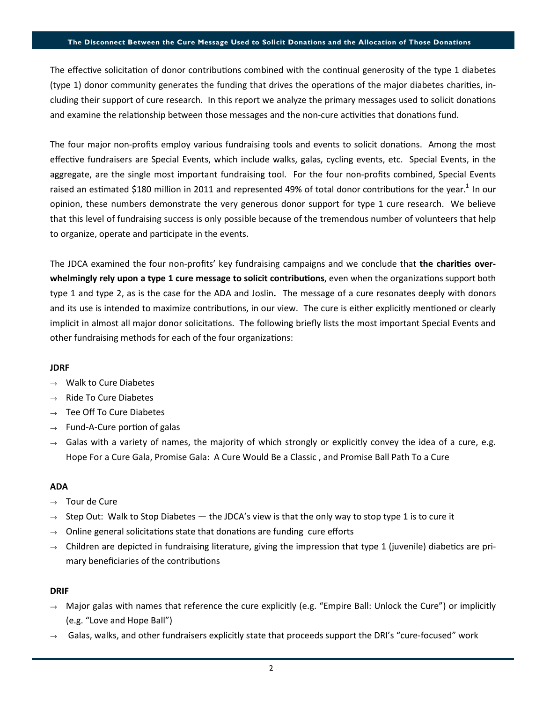#### The Disconnect Between the Cure Message Used to Solicit Donations and the Allocation of Those Donations

The effective solicitation of donor contributions combined with the continual generosity of the type 1 diabetes (type 1) donor community generates the funding that drives the operations of the major diabetes charities, including their support of cure research. In this report we analyze the primary messages used to solicit donations and examine the relationship between those messages and the non-cure activities that donations fund.

The four major non-profits employ various fundraising tools and events to solicit donations. Among the most effective fundraisers are Special Events, which include walks, galas, cycling events, etc. Special Events, in the aggregate, are the single most important fundraising tool. For the four non-profits combined, Special Events raised an estimated \$180 million in 2011 and represented 49% of total donor contributions for the year.<sup>1</sup> In our opinion, these numbers demonstrate the very generous donor support for type 1 cure research. We believe that this level of fundraising success is only possible because of the tremendous number of volunteers that help to organize, operate and participate in the events.

The JDCA examined the four non-profits' key fundraising campaigns and we conclude that the charities overwhelmingly rely upon a type 1 cure message to solicit contributions, even when the organizations support both type 1 and type 2, as is the case for the ADA and Joslin. The message of a cure resonates deeply with donors and its use is intended to maximize contributions, in our view. The cure is either explicitly mentioned or clearly implicit in almost all major donor solicitations. The following briefly lists the most important Special Events and other fundraising methods for each of the four organizations:

#### JDRF

- $\rightarrow$  Walk to Cure Diabetes
- $\rightarrow$  Ride To Cure Diabetes
- $\rightarrow$  Tee Off To Cure Diabetes
- $\rightarrow$  Fund-A-Cure portion of galas
- $\rightarrow$  Galas with a variety of names, the majority of which strongly or explicitly convey the idea of a cure, e.g. Hope For a Cure Gala, Promise Gala: A Cure Would Be a Classic , and Promise Ball Path To a Cure

#### ADA

- $\rightarrow$  Tour de Cure
- $\rightarrow$  Step Out: Walk to Stop Diabetes the JDCA's view is that the only way to stop type 1 is to cure it
- $\rightarrow$  Online general solicitations state that donations are funding cure efforts
- $\rightarrow$  Children are depicted in fundraising literature, giving the impression that type 1 (juvenile) diabetics are primary beneficiaries of the contributions

#### DRIF

- $\rightarrow$  Major galas with names that reference the cure explicitly (e.g. "Empire Ball: Unlock the Cure") or implicitly (e.g. "Love and Hope Ball")
- Galas, walks, and other fundraisers explicitly state that proceeds support the DRI's "cure-focused" work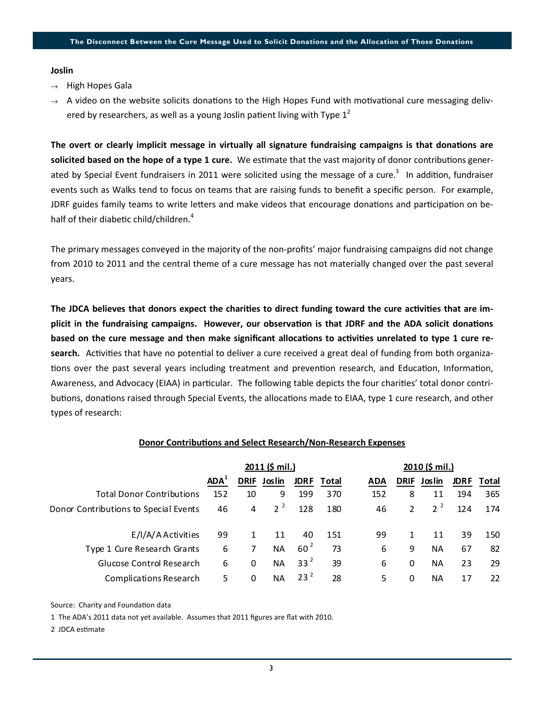#### Joslin

- $\rightarrow$  High Hopes Gala
- $\rightarrow$  A video on the website solicits donations to the High Hopes Fund with motivational cure messaging delivered by researchers, as well as a young Joslin patient living with Type  $1^2$

The overt or clearly implicit message in virtually all signature fundraising campaigns is that donations are solicited based on the hope of a type 1 cure. We estimate that the vast majority of donor contributions generated by Special Event fundraisers in 2011 were solicited using the message of a cure.<sup>3</sup> In addition, fundraiser events such as Walks tend to focus on teams that are raising funds to benefit a specific person. For example, JDRF guides family teams to write letters and make videos that encourage donations and participation on behalf of their diabetic child/children.<sup>4</sup>

The primary messages conveyed in the majority of the non-profits' major fundraising campaigns did not change from 2010 to 2011 and the central theme of a cure message has not materially changed over the past several years.

The JDCA believes that donors expect the charities to direct funding toward the cure activities that are implicit in the fundraising campaigns. However, our observation is that JDRF and the ADA solicit donations based on the cure message and then make significant allocations to activities unrelated to type 1 cure research. Activities that have no potential to deliver a cure received a great deal of funding from both organizations over the past several years including treatment and prevention research, and Education, Information, Awareness, and Advocacy (EIAA) in particular. The following table depicts the four charities' total donor contributions, donations raised through Special Events, the allocations made to EIAA, type 1 cure research, and other types of research:

#### Donor Contributions and Select Research/Non-Research Expenses

|                                       | 2011 (\$ mil.)   |             |           |                 |       | 2010 (\$ mil.) |                |           |             |       |
|---------------------------------------|------------------|-------------|-----------|-----------------|-------|----------------|----------------|-----------|-------------|-------|
|                                       | ADA <sup>'</sup> | <b>DRIF</b> | Joslin    | <b>JDRF</b>     | Total | <b>ADA</b>     | <b>DRIF</b>    | Joslin    | <b>JDRF</b> | Total |
| <b>Total Donor Contributions</b>      | 152              | 10          | 9         | 199             | 370   | 152            | 8              | 11        | 194         | 365   |
| Donor Contributions to Special Events | 46               | 4           | $2^2$     | 128             | 180   | 46             | $\overline{2}$ | $2^2$     | 124         | 174   |
| E/I/A/A Activities                    | 99               |             | 11        | 40              | 151   | 99             |                | 11        | 39          | 150   |
| Type 1 Cure Research Grants           | 6                | 7           | <b>NA</b> | $60^{2}$        | 73    | 6              | 9              | <b>NA</b> | 67          | 82    |
| Glucose Control Research              | 6                | 0           | <b>NA</b> | 33 <sup>2</sup> | 39    | 6              | 0              | ΝA        | 23          | 29    |
| <b>Complications Research</b>         | 5                | 0           | <b>NA</b> | 23 <sup>2</sup> | 28    | 5              | 0              | ΝA        | 17          | 22    |

Source: Charity and Foundation data

1 The ADA's 2011 data not yet available. Assumes that 2011 figures are flat with 2010.

2 JDCA esmate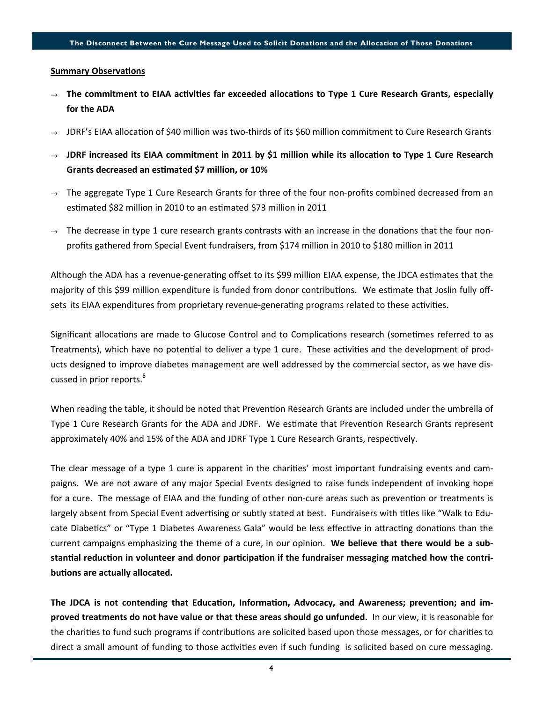#### **Summary Observations**

- $\rightarrow$  The commitment to EIAA activities far exceeded allocations to Type 1 Cure Research Grants, especially for the ADA
- $\rightarrow$  JDRF's EIAA allocation of \$40 million was two-thirds of its \$60 million commitment to Cure Research Grants
- $\rightarrow$  JDRF increased its EIAA commitment in 2011 by \$1 million while its allocation to Type 1 Cure Research Grants decreased an estimated \$7 million, or 10%
- $\rightarrow$  The aggregate Type 1 Cure Research Grants for three of the four non-profits combined decreased from an esmated \$82 million in 2010 to an esmated \$73 million in 2011
- $\rightarrow$  The decrease in type 1 cure research grants contrasts with an increase in the donations that the four nonprofits gathered from Special Event fundraisers, from \$174 million in 2010 to \$180 million in 2011

Although the ADA has a revenue-generating offset to its \$99 million EIAA expense, the JDCA estimates that the majority of this \$99 million expenditure is funded from donor contributions. We estimate that Joslin fully offsets its EIAA expenditures from proprietary revenue-generating programs related to these activities.

Significant allocations are made to Glucose Control and to Complications research (sometimes referred to as Treatments), which have no potential to deliver a type 1 cure. These activities and the development of products designed to improve diabetes management are well addressed by the commercial sector, as we have discussed in prior reports.<sup>5</sup>

When reading the table, it should be noted that Prevention Research Grants are included under the umbrella of Type 1 Cure Research Grants for the ADA and JDRF. We estimate that Prevention Research Grants represent approximately 40% and 15% of the ADA and JDRF Type 1 Cure Research Grants, respectively.

The clear message of a type 1 cure is apparent in the charies' most important fundraising events and campaigns. We are not aware of any major Special Events designed to raise funds independent of invoking hope for a cure. The message of EIAA and the funding of other non-cure areas such as prevention or treatments is largely absent from Special Event advertising or subtly stated at best. Fundraisers with titles like "Walk to Educate Diabetics" or "Type 1 Diabetes Awareness Gala" would be less effective in attracting donations than the current campaigns emphasizing the theme of a cure, in our opinion. We believe that there would be a substantial reduction in volunteer and donor participation if the fundraiser messaging matched how the contributions are actually allocated.

The JDCA is not contending that Education, Information, Advocacy, and Awareness; prevention; and improved treatments do not have value or that these areas should go unfunded. In our view, it is reasonable for the charities to fund such programs if contributions are solicited based upon those messages, or for charities to direct a small amount of funding to those activities even if such funding is solicited based on cure messaging.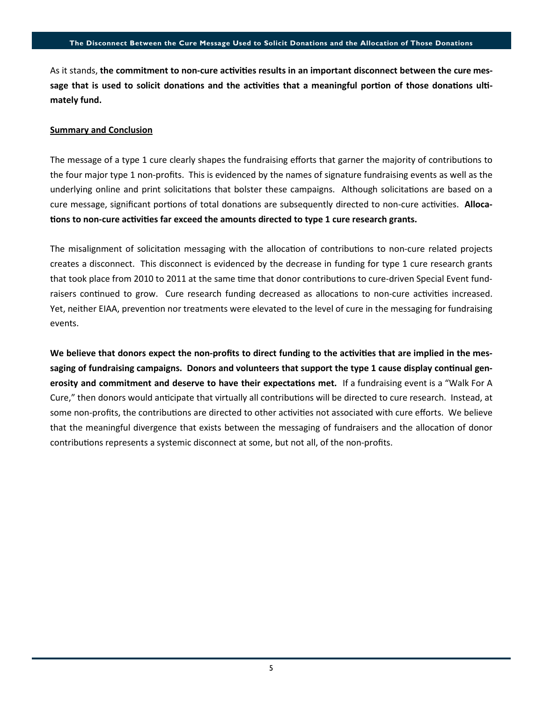As it stands, the commitment to non-cure activities results in an important disconnect between the cure message that is used to solicit donations and the activities that a meaningful portion of those donations ultimately fund.

#### Summary and Conclusion

The message of a type 1 cure clearly shapes the fundraising efforts that garner the majority of contributions to the four major type 1 non-profits. This is evidenced by the names of signature fundraising events as well as the underlying online and print solicitations that bolster these campaigns. Although solicitations are based on a cure message, significant portions of total donations are subsequently directed to non-cure activities. Allocations to non-cure activities far exceed the amounts directed to type 1 cure research grants.

The misalignment of solicitation messaging with the allocation of contributions to non-cure related projects creates a disconnect. This disconnect is evidenced by the decrease in funding for type 1 cure research grants that took place from 2010 to 2011 at the same time that donor contributions to cure-driven Special Event fundraisers continued to grow. Cure research funding decreased as allocations to non-cure activities increased. Yet, neither EIAA, prevention nor treatments were elevated to the level of cure in the messaging for fundraising events.

We believe that donors expect the non-profits to direct funding to the activities that are implied in the messaging of fundraising campaigns. Donors and volunteers that support the type 1 cause display continual generosity and commitment and deserve to have their expectations met. If a fundraising event is a "Walk For A Cure," then donors would anticipate that virtually all contributions will be directed to cure research. Instead, at some non-profits, the contributions are directed to other activities not associated with cure efforts. We believe that the meaningful divergence that exists between the messaging of fundraisers and the allocation of donor contributions represents a systemic disconnect at some, but not all, of the non-profits.